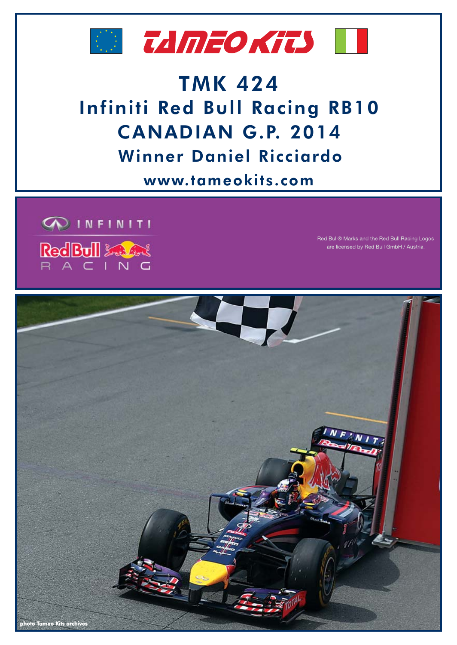



## **TMK 424 Infiniti Red Bull Racing RB10** CANADIAN G.P. 2014 **Winner Daniel Ricciardo**

www.tameokits.com



Red Bull® Marks and the Red Bull Racing Logos are licensed by Red Bull GmbH / Austria.

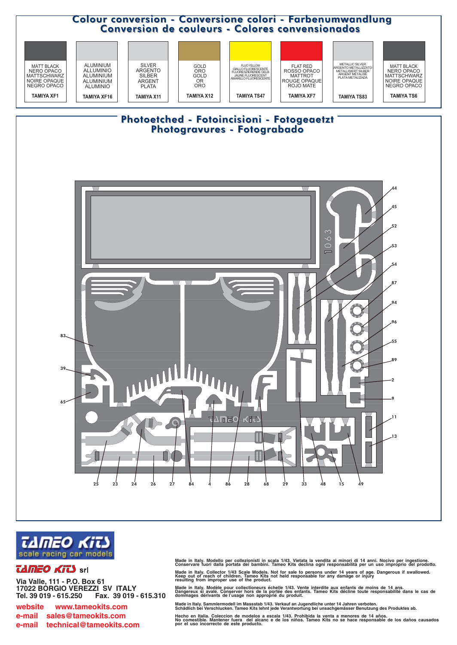



## *TAMEO KITS* srl

Via Valle, 111 - P.O. Box 61 17022 BÓRGIO VEREZZI SV ITALY Tel. 39 019 - 615.250 Fax. 39 019 - 615.310

www.tameokits.com website e-mail sales@tameokits.com e-mail technical@tameokits.com Made in Italy. Modello per collezionisti in scala 1/43. Vietata la vendita ai minori di 14 anni. Nocivo per ingestione.<br>Conservare fuori dalla portata dei bambini. Tameo Kits declina ogni responsabilità per un uso impropri

Made in Italy. Collector 1/43 Scale Models. Not for sale to persons under 14 years of age. Dangerous if swallowed.<br>Keep out of reach of children. Tameo Kits not held responsable for any damage or injury<br>resulting from impr

Made in Italy. Modèle pour collectioneurs échelle 1/43. Vente interdite aux enfants de moins de 14 ans.<br>Dangereux si avalé. Conserver hors de la portée des enfants. Tameo Kits décline toute responsabilité dans le cas de<br>do

Made in Italy. Sammlermodell im Massstab 1/43. Verkauf an Jugendliche unter 14 Jahren verboten.<br>Schädlich bei Verschlucken. Tameo Kits lehnt jede Verantwortung bei unsachgemässer Benutzung des Produktes ab.

Hecho en Italia. Coleccion de modelos a escala 1/43. Prohibida la venta a menores de 14 años.<br>No comestible. Mantener tuera del alcanc e de los niños. Tameo Kits no se hace responsable de los daños causados<br>por el uso inco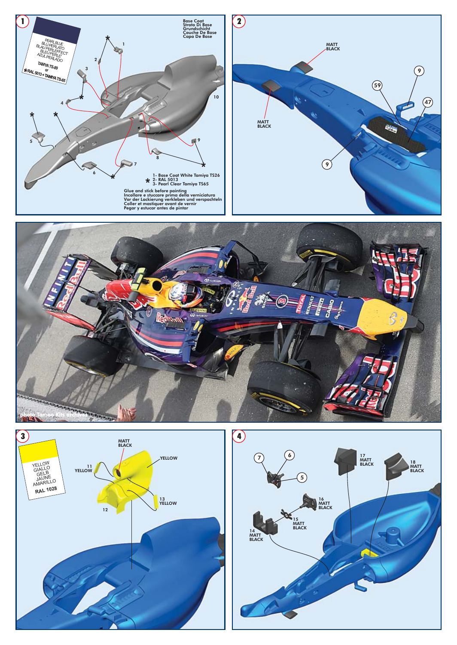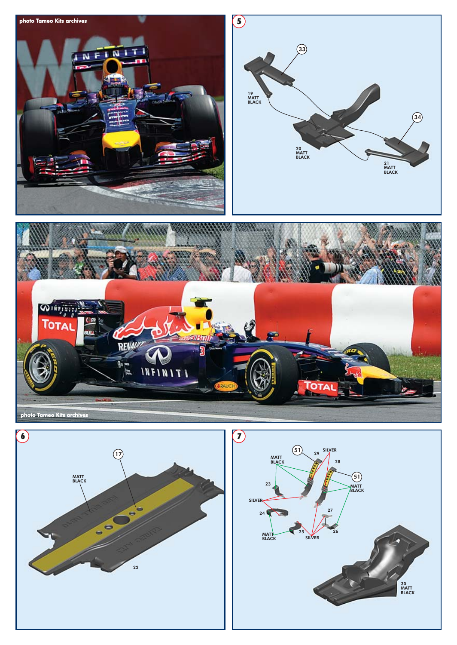



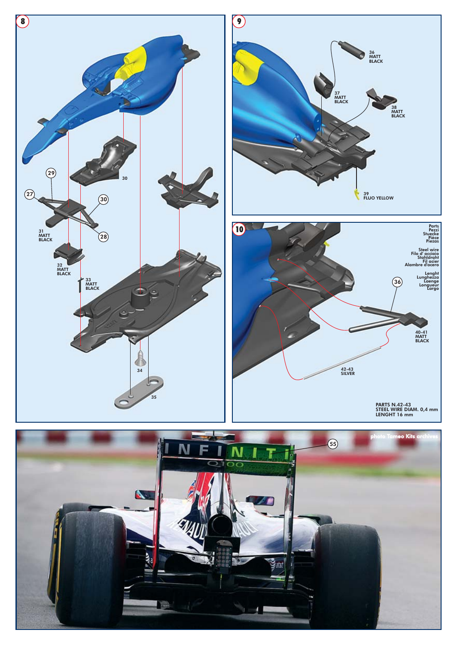





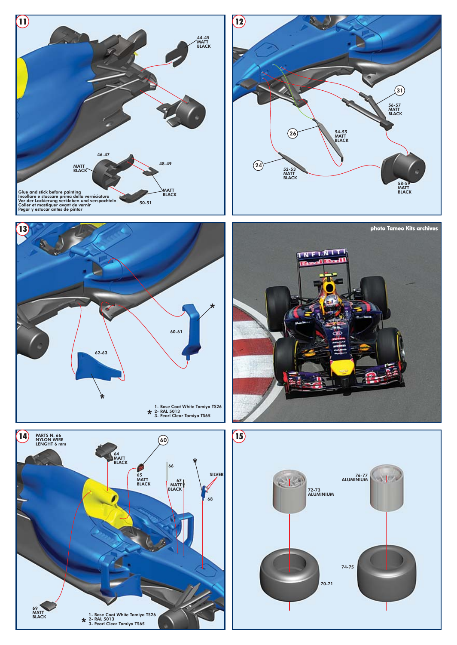









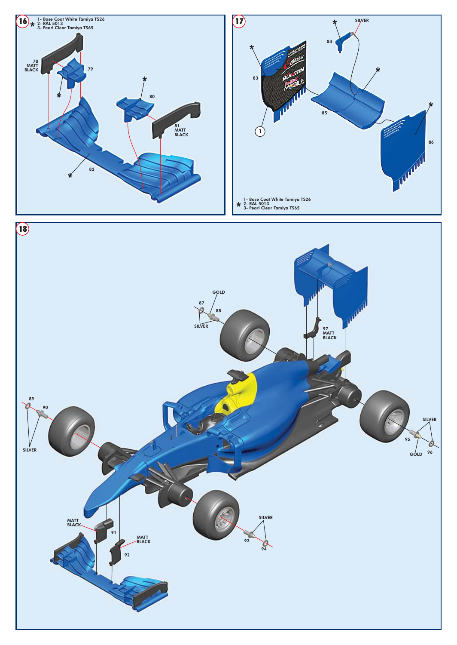